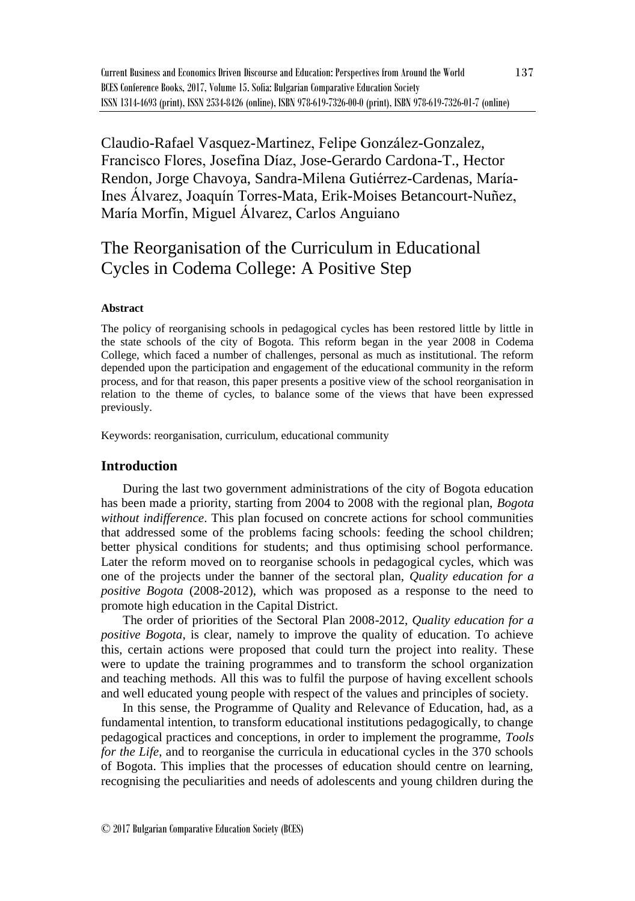Claudio-Rafael Vasquez-Martinez, Felipe González-Gonzalez, Francisco Flores, Josefina Díaz, Jose-Gerardo Cardona-T., Hector Rendon, Jorge Chavoya, Sandra-Milena Gutiérrez-Cardenas, María-Ines Álvarez, Joaquín Torres-Mata, Erik-Moises Betancourt-Nuñez, María Morfín, Miguel Álvarez, Carlos Anguiano

# The Reorganisation of the Curriculum in Educational Cycles in Codema College: A Positive Step

### **Abstract**

The policy of reorganising schools in pedagogical cycles has been restored little by little in the state schools of the city of Bogota. This reform began in the year 2008 in Codema College, which faced a number of challenges, personal as much as institutional. The reform depended upon the participation and engagement of the educational community in the reform process, and for that reason, this paper presents a positive view of the school reorganisation in relation to the theme of cycles, to balance some of the views that have been expressed previously.

Keywords: reorganisation, curriculum, educational community

### **Introduction**

During the last two government administrations of the city of Bogota education has been made a priority, starting from 2004 to 2008 with the regional plan, *Bogota without indifference*. This plan focused on concrete actions for school communities that addressed some of the problems facing schools: feeding the school children; better physical conditions for students; and thus optimising school performance. Later the reform moved on to reorganise schools in pedagogical cycles, which was one of the projects under the banner of the sectoral plan, *Quality education for a positive Bogota* (2008-2012), which was proposed as a response to the need to promote high education in the Capital District.

The order of priorities of the Sectoral Plan 2008-2012, *Quality education for a positive Bogota*, is clear, namely to improve the quality of education. To achieve this, certain actions were proposed that could turn the project into reality. These were to update the training programmes and to transform the school organization and teaching methods. All this was to fulfil the purpose of having excellent schools and well educated young people with respect of the values and principles of society.

In this sense, the Programme of Quality and Relevance of Education, had, as a fundamental intention, to transform educational institutions pedagogically, to change pedagogical practices and conceptions, in order to implement the programme, *Tools for the Life*, and to reorganise the curricula in educational cycles in the 370 schools of Bogota. This implies that the processes of education should centre on learning, recognising the peculiarities and needs of adolescents and young children during the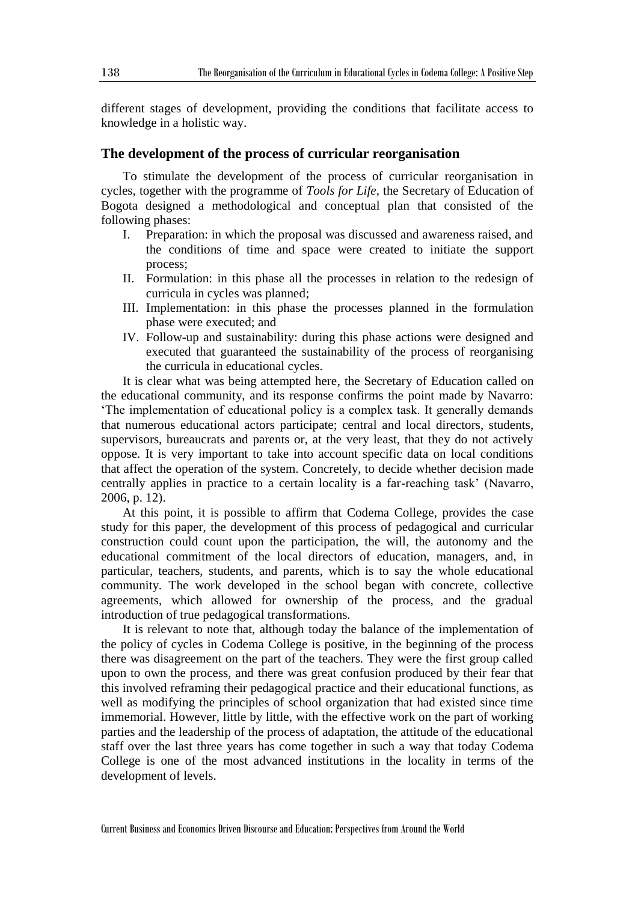different stages of development, providing the conditions that facilitate access to knowledge in a holistic way.

#### **The development of the process of curricular reorganisation**

To stimulate the development of the process of curricular reorganisation in cycles, together with the programme of *Tools for Life*, the Secretary of Education of Bogota designed a methodological and conceptual plan that consisted of the following phases:

- I. Preparation: in which the proposal was discussed and awareness raised, and the conditions of time and space were created to initiate the support process;
- II. Formulation: in this phase all the processes in relation to the redesign of curricula in cycles was planned;
- III. Implementation: in this phase the processes planned in the formulation phase were executed; and
- IV. Follow-up and sustainability: during this phase actions were designed and executed that guaranteed the sustainability of the process of reorganising the curricula in educational cycles.

It is clear what was being attempted here, the Secretary of Education called on the educational community, and its response confirms the point made by Navarro: 'The implementation of educational policy is a complex task. It generally demands that numerous educational actors participate; central and local directors, students, supervisors, bureaucrats and parents or, at the very least, that they do not actively oppose. It is very important to take into account specific data on local conditions that affect the operation of the system. Concretely, to decide whether decision made centrally applies in practice to a certain locality is a far-reaching task' (Navarro, 2006, p. 12).

At this point, it is possible to affirm that Codema College, provides the case study for this paper, the development of this process of pedagogical and curricular construction could count upon the participation, the will, the autonomy and the educational commitment of the local directors of education, managers, and, in particular, teachers, students, and parents, which is to say the whole educational community. The work developed in the school began with concrete, collective agreements, which allowed for ownership of the process, and the gradual introduction of true pedagogical transformations.

It is relevant to note that, although today the balance of the implementation of the policy of cycles in Codema College is positive, in the beginning of the process there was disagreement on the part of the teachers. They were the first group called upon to own the process, and there was great confusion produced by their fear that this involved reframing their pedagogical practice and their educational functions, as well as modifying the principles of school organization that had existed since time immemorial. However, little by little, with the effective work on the part of working parties and the leadership of the process of adaptation, the attitude of the educational staff over the last three years has come together in such a way that today Codema College is one of the most advanced institutions in the locality in terms of the development of levels.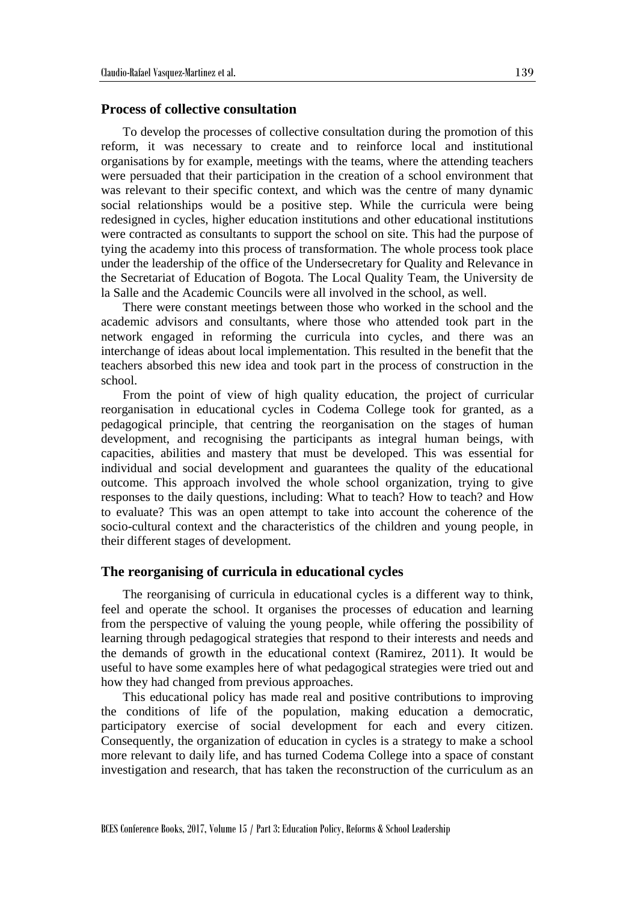## **Process of collective consultation**

To develop the processes of collective consultation during the promotion of this reform, it was necessary to create and to reinforce local and institutional organisations by for example, meetings with the teams, where the attending teachers were persuaded that their participation in the creation of a school environment that was relevant to their specific context, and which was the centre of many dynamic social relationships would be a positive step. While the curricula were being redesigned in cycles, higher education institutions and other educational institutions were contracted as consultants to support the school on site. This had the purpose of tying the academy into this process of transformation. The whole process took place under the leadership of the office of the Undersecretary for Quality and Relevance in the Secretariat of Education of Bogota. The Local Quality Team, the University de la Salle and the Academic Councils were all involved in the school, as well.

There were constant meetings between those who worked in the school and the academic advisors and consultants, where those who attended took part in the network engaged in reforming the curricula into cycles, and there was an interchange of ideas about local implementation. This resulted in the benefit that the teachers absorbed this new idea and took part in the process of construction in the school.

From the point of view of high quality education, the project of curricular reorganisation in educational cycles in Codema College took for granted, as a pedagogical principle, that centring the reorganisation on the stages of human development, and recognising the participants as integral human beings, with capacities, abilities and mastery that must be developed. This was essential for individual and social development and guarantees the quality of the educational outcome. This approach involved the whole school organization, trying to give responses to the daily questions, including: What to teach? How to teach? and How to evaluate? This was an open attempt to take into account the coherence of the socio-cultural context and the characteristics of the children and young people, in their different stages of development.

#### **The reorganising of curricula in educational cycles**

The reorganising of curricula in educational cycles is a different way to think, feel and operate the school. It organises the processes of education and learning from the perspective of valuing the young people, while offering the possibility of learning through pedagogical strategies that respond to their interests and needs and the demands of growth in the educational context (Ramirez, 2011). It would be useful to have some examples here of what pedagogical strategies were tried out and how they had changed from previous approaches.

This educational policy has made real and positive contributions to improving the conditions of life of the population, making education a democratic, participatory exercise of social development for each and every citizen. Consequently, the organization of education in cycles is a strategy to make a school more relevant to daily life, and has turned Codema College into a space of constant investigation and research, that has taken the reconstruction of the curriculum as an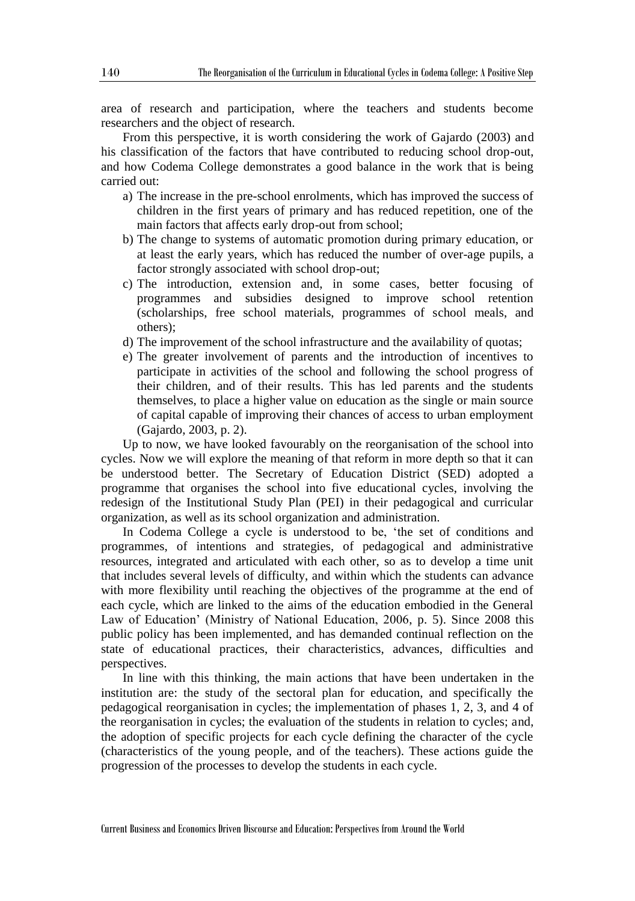area of research and participation, where the teachers and students become researchers and the object of research.

From this perspective, it is worth considering the work of Gajardo (2003) and his classification of the factors that have contributed to reducing school drop-out, and how Codema College demonstrates a good balance in the work that is being carried out:

- a) The increase in the pre-school enrolments, which has improved the success of children in the first years of primary and has reduced repetition, one of the main factors that affects early drop-out from school;
- b) The change to systems of automatic promotion during primary education, or at least the early years, which has reduced the number of over-age pupils, a factor strongly associated with school drop-out;
- c) The introduction, extension and, in some cases, better focusing of programmes and subsidies designed to improve school retention (scholarships, free school materials, programmes of school meals, and others);
- d) The improvement of the school infrastructure and the availability of quotas;
- e) The greater involvement of parents and the introduction of incentives to participate in activities of the school and following the school progress of their children, and of their results. This has led parents and the students themselves, to place a higher value on education as the single or main source of capital capable of improving their chances of access to urban employment (Gajardo, 2003, p. 2).

Up to now, we have looked favourably on the reorganisation of the school into cycles. Now we will explore the meaning of that reform in more depth so that it can be understood better. The Secretary of Education District (SED) adopted a programme that organises the school into five educational cycles, involving the redesign of the Institutional Study Plan (PEI) in their pedagogical and curricular organization, as well as its school organization and administration.

In Codema College a cycle is understood to be, 'the set of conditions and programmes, of intentions and strategies, of pedagogical and administrative resources, integrated and articulated with each other, so as to develop a time unit that includes several levels of difficulty, and within which the students can advance with more flexibility until reaching the objectives of the programme at the end of each cycle, which are linked to the aims of the education embodied in the General Law of Education' (Ministry of National Education, 2006, p. 5). Since 2008 this public policy has been implemented, and has demanded continual reflection on the state of educational practices, their characteristics, advances, difficulties and perspectives.

In line with this thinking, the main actions that have been undertaken in the institution are: the study of the sectoral plan for education, and specifically the pedagogical reorganisation in cycles; the implementation of phases 1, 2, 3, and 4 of the reorganisation in cycles; the evaluation of the students in relation to cycles; and, the adoption of specific projects for each cycle defining the character of the cycle (characteristics of the young people, and of the teachers). These actions guide the progression of the processes to develop the students in each cycle.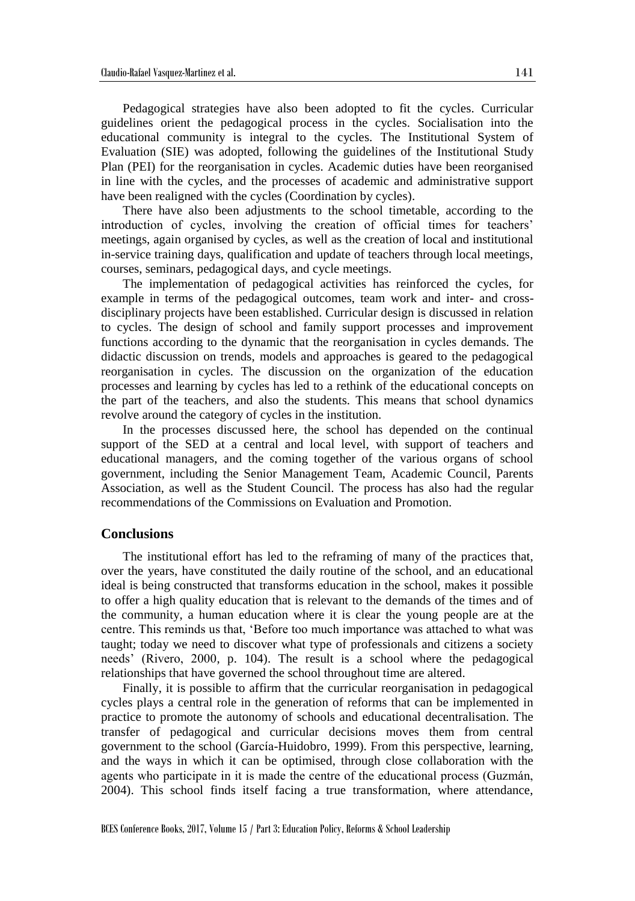Pedagogical strategies have also been adopted to fit the cycles. Curricular guidelines orient the pedagogical process in the cycles. Socialisation into the educational community is integral to the cycles. The Institutional System of Evaluation (SIE) was adopted, following the guidelines of the Institutional Study Plan (PEI) for the reorganisation in cycles. Academic duties have been reorganised in line with the cycles, and the processes of academic and administrative support have been realigned with the cycles (Coordination by cycles).

There have also been adjustments to the school timetable, according to the introduction of cycles, involving the creation of official times for teachers' meetings, again organised by cycles, as well as the creation of local and institutional in-service training days, qualification and update of teachers through local meetings, courses, seminars, pedagogical days, and cycle meetings.

The implementation of pedagogical activities has reinforced the cycles, for example in terms of the pedagogical outcomes, team work and inter- and crossdisciplinary projects have been established. Curricular design is discussed in relation to cycles. The design of school and family support processes and improvement functions according to the dynamic that the reorganisation in cycles demands. The didactic discussion on trends, models and approaches is geared to the pedagogical reorganisation in cycles. The discussion on the organization of the education processes and learning by cycles has led to a rethink of the educational concepts on the part of the teachers, and also the students. This means that school dynamics revolve around the category of cycles in the institution.

In the processes discussed here, the school has depended on the continual support of the SED at a central and local level, with support of teachers and educational managers, and the coming together of the various organs of school government, including the Senior Management Team, Academic Council, Parents Association, as well as the Student Council. The process has also had the regular recommendations of the Commissions on Evaluation and Promotion.

## **Conclusions**

The institutional effort has led to the reframing of many of the practices that, over the years, have constituted the daily routine of the school, and an educational ideal is being constructed that transforms education in the school, makes it possible to offer a high quality education that is relevant to the demands of the times and of the community, a human education where it is clear the young people are at the centre. This reminds us that, 'Before too much importance was attached to what was taught; today we need to discover what type of professionals and citizens a society needs' (Rivero, 2000, p. 104). The result is a school where the pedagogical relationships that have governed the school throughout time are altered.

Finally, it is possible to affirm that the curricular reorganisation in pedagogical cycles plays a central role in the generation of reforms that can be implemented in practice to promote the autonomy of schools and educational decentralisation. The transfer of pedagogical and curricular decisions moves them from central government to the school (García-Huidobro, 1999). From this perspective, learning, and the ways in which it can be optimised, through close collaboration with the agents who participate in it is made the centre of the educational process (Guzmán, 2004). This school finds itself facing a true transformation, where attendance,